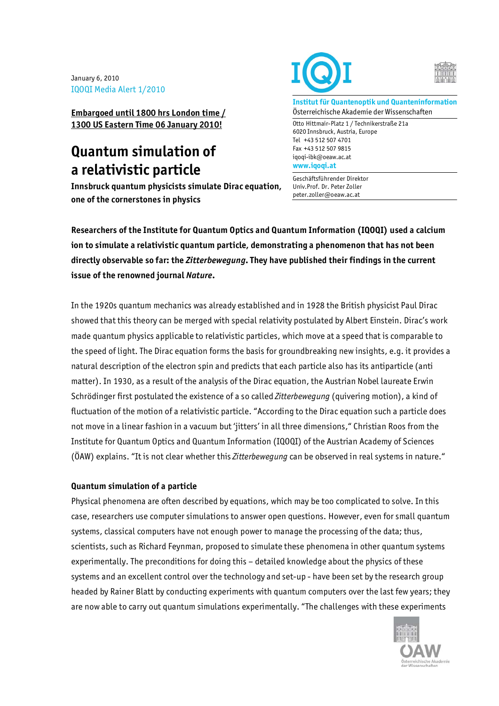January 6, 2010 IQOQI Media Alert 1/2010

**Embargoed until 1800 hrs London time / 1300 US Eastern Time 06 January 2010!**

# **Quantum simulation of a relativistic particle**

**Innsbruck quantum physicists simulate Dirac equation, one of the cornerstones in physics** 





**Institut für Quantenoptik und Quanteninformation**  Österreichische Akademie der Wissenschaften

Otto Hittmair-Platz 1 / Technikerstraße 21a 6020 Innsbruck, Austria, Europe Tel +43 512 507 4701 Fax +43 512 507 9815 iqoqi-ibk@oeaw.ac.at **www.iqoqi.at** 

Geschäftsführender Direktor Univ.Prof. Dr. Peter Zoller peter.zoller@oeaw.ac.at

**Researchers of the Institute for Quantum Optics and Quantum Information (IQOQI) used a calcium ion to simulate a relativistic quantum particle, demonstrating a phenomenon that has not been directly observable so far: the** *Zitterbewegung***. They have published their findings in the current issue of the renowned journal** *Nature***.** 

In the 1920s quantum mechanics was already established and in 1928 the British physicist Paul Dirac showed that this theory can be merged with special relativity postulated by Albert Einstein. Dirac's work made quantum physics applicable to relativistic particles, which move at a speed that is comparable to the speed of light. The Dirac equation forms the basis for groundbreaking new insights, e.g. it provides a natural description of the electron spin and predicts that each particle also has its antiparticle (anti matter). In 1930, as a result of the analysis of the Dirac equation, the Austrian Nobel laureate Erwin Schrödinger first postulated the existence of a so called *Zitterbewegung* (quivering motion), a kind of fluctuation of the motion of a relativistic particle. "According to the Dirac equation such a particle does not move in a linear fashion in a vacuum but 'jitters' in all three dimensions," Christian Roos from the Institute for Quantum Optics and Quantum Information (IQOQI) of the Austrian Academy of Sciences (ÖAW) explains. "It is not clear whether this *Zitterbewegung* can be observed in real systems in nature."

## **Quantum simulation of a particle**

Physical phenomena are often described by equations, which may be too complicated to solve. In this case, researchers use computer simulations to answer open questions. However, even for small quantum systems, classical computers have not enough power to manage the processing of the data; thus, scientists, such as Richard Feynman, proposed to simulate these phenomena in other quantum systems experimentally. The preconditions for doing this – detailed knowledge about the physics of these systems and an excellent control over the technology and set-up - have been set by the research group headed by Rainer Blatt by conducting experiments with quantum computers over the last few years; they are now able to carry out quantum simulations experimentally. "The challenges with these experiments